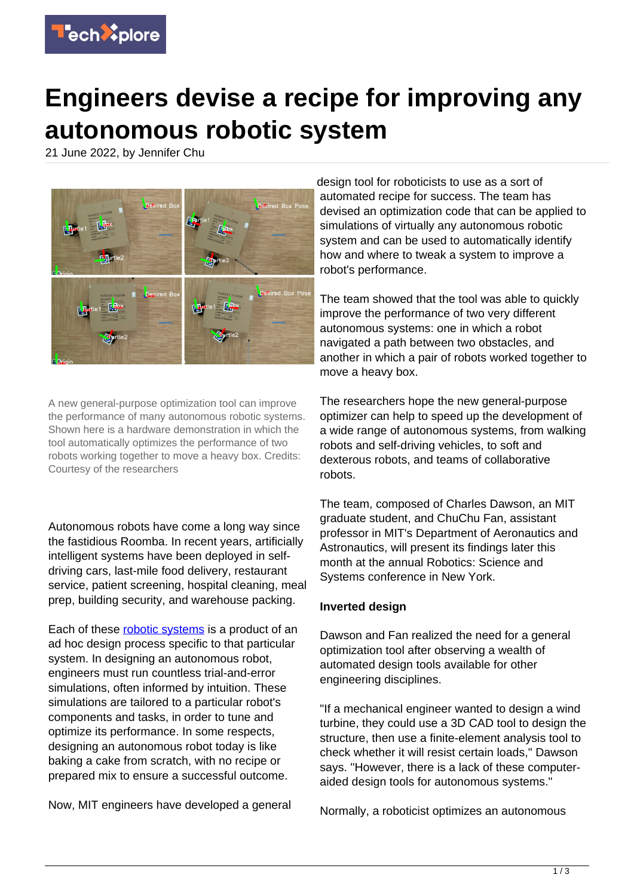

## **Engineers devise a recipe for improving any autonomous robotic system**

21 June 2022, by Jennifer Chu



A new general-purpose optimization tool can improve the performance of many autonomous robotic systems. Shown here is a hardware demonstration in which the tool automatically optimizes the performance of two robots working together to move a heavy box. Credits: Courtesy of the researchers

Autonomous robots have come a long way since the fastidious Roomba. In recent years, artificially intelligent systems have been deployed in selfdriving cars, last-mile food delivery, restaurant service, patient screening, hospital cleaning, meal prep, building security, and warehouse packing.

Each of these [robotic systems](https://techxplore.com/tags/robotic+systems/) is a product of an ad hoc design process specific to that particular system. In designing an autonomous robot, engineers must run countless trial-and-error simulations, often informed by intuition. These simulations are tailored to a particular robot's components and tasks, in order to tune and optimize its performance. In some respects, designing an autonomous robot today is like baking a cake from scratch, with no recipe or prepared mix to ensure a successful outcome.

Now, MIT engineers have developed a general

design tool for roboticists to use as a sort of automated recipe for success. The team has devised an optimization code that can be applied to simulations of virtually any autonomous robotic system and can be used to automatically identify how and where to tweak a system to improve a robot's performance.

The team showed that the tool was able to quickly improve the performance of two very different autonomous systems: one in which a robot navigated a path between two obstacles, and another in which a pair of robots worked together to move a heavy box.

The researchers hope the new general-purpose optimizer can help to speed up the development of a wide range of autonomous systems, from walking robots and self-driving vehicles, to soft and dexterous robots, and teams of collaborative robots.

The team, composed of Charles Dawson, an MIT graduate student, and ChuChu Fan, assistant professor in MIT's Department of Aeronautics and Astronautics, will present its findings later this month at the annual Robotics: Science and Systems conference in New York.

## **Inverted design**

Dawson and Fan realized the need for a general optimization tool after observing a wealth of automated design tools available for other engineering disciplines.

"If a mechanical engineer wanted to design a wind turbine, they could use a 3D CAD tool to design the structure, then use a finite-element analysis tool to check whether it will resist certain loads," Dawson says. "However, there is a lack of these computeraided design tools for autonomous systems."

Normally, a roboticist optimizes an autonomous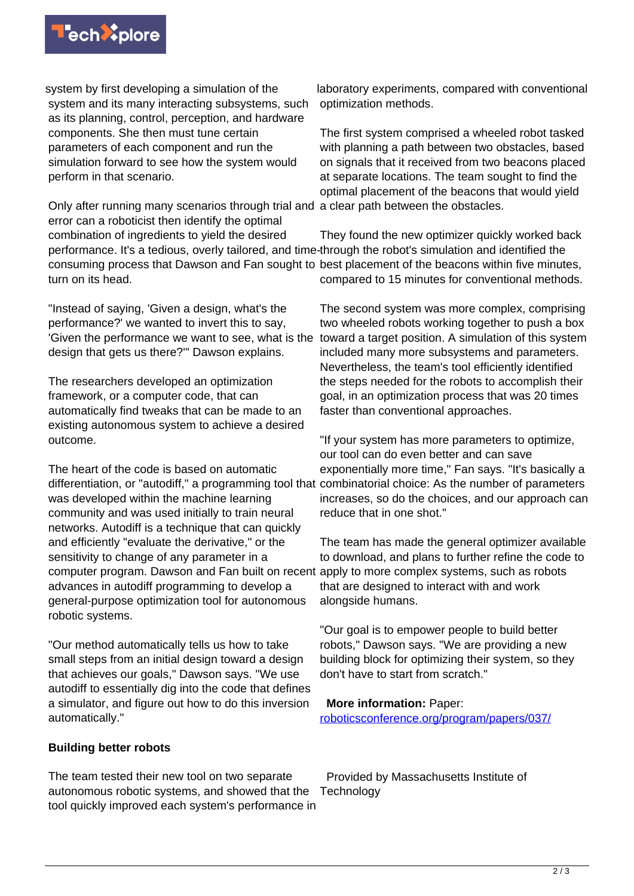

system by first developing a simulation of the system and its many interacting subsystems, such as its planning, control, perception, and hardware components. She then must tune certain parameters of each component and run the simulation forward to see how the system would perform in that scenario.

Only after running many scenarios through trial and a clear path between the obstacles. error can a roboticist then identify the optimal combination of ingredients to yield the desired performance. It's a tedious, overly tailored, and time-through the robot's simulation and identified the turn on its head.

"Instead of saying, 'Given a design, what's the performance?' we wanted to invert this to say, 'Given the performance we want to see, what is the design that gets us there?'" Dawson explains.

The researchers developed an optimization framework, or a computer code, that can automatically find tweaks that can be made to an existing autonomous system to achieve a desired outcome.

The heart of the code is based on automatic differentiation, or "autodiff," a programming tool that combinatorial choice: As the number of parameters was developed within the machine learning community and was used initially to train neural networks. Autodiff is a technique that can quickly and efficiently "evaluate the derivative," or the sensitivity to change of any parameter in a computer program. Dawson and Fan built on recent apply to more complex systems, such as robots advances in autodiff programming to develop a general-purpose optimization tool for autonomous robotic systems.

"Our method automatically tells us how to take small steps from an initial design toward a design that achieves our goals," Dawson says. "We use autodiff to essentially dig into the code that defines a simulator, and figure out how to do this inversion automatically."

**Building better robots**

The team tested their new tool on two separate autonomous robotic systems, and showed that the tool quickly improved each system's performance in

laboratory experiments, compared with conventional optimization methods.

The first system comprised a wheeled robot tasked with planning a path between two obstacles, based on signals that it received from two beacons placed at separate locations. The team sought to find the optimal placement of the beacons that would yield

consuming process that Dawson and Fan sought to best placement of the beacons within five minutes, They found the new optimizer quickly worked back compared to 15 minutes for conventional methods.

> The second system was more complex, comprising two wheeled robots working together to push a box toward a target position. A simulation of this system included many more subsystems and parameters. Nevertheless, the team's tool efficiently identified the steps needed for the robots to accomplish their goal, in an optimization process that was 20 times faster than conventional approaches.

> "If your system has more parameters to optimize, our tool can do even better and can save exponentially more time," Fan says. "It's basically a increases, so do the choices, and our approach can reduce that in one shot."

> The team has made the general optimizer available to download, and plans to further refine the code to that are designed to interact with and work alongside humans.

"Our goal is to empower people to build better robots," Dawson says. "We are providing a new building block for optimizing their system, so they don't have to start from scratch."

## **More information:** Paper:

[roboticsconference.org/program/papers/037/](https://roboticsconference.org/program/papers/037/)

 Provided by Massachusetts Institute of **Technology**